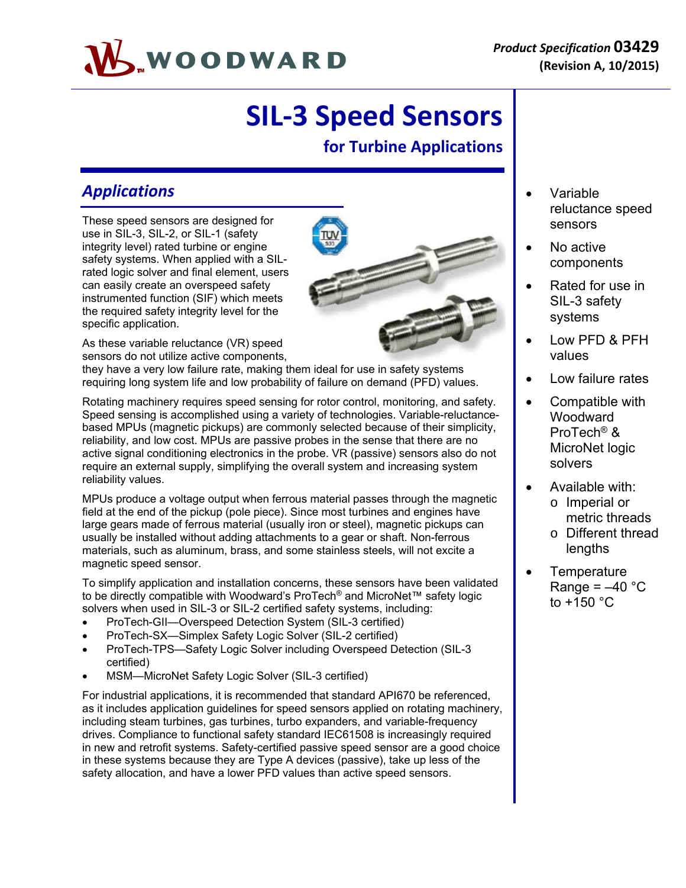

# **SIL‐3 Speed Sensors**

## **for Turbine Applications**

### *Applications*

These speed sensors are designed for use in SIL-3, SIL-2, or SIL-1 (safety integrity level) rated turbine or engine safety systems. When applied with a SILrated logic solver and final element, users can easily create an overspeed safety instrumented function (SIF) which meets the required safety integrity level for the specific application.

As these variable reluctance (VR) speed sensors do not utilize active components,

they have a very low failure rate, making them ideal for use in safety systems requiring long system life and low probability of failure on demand (PFD) values.

Rotating machinery requires speed sensing for rotor control, monitoring, and safety. Speed sensing is accomplished using a variety of technologies. Variable-reluctancebased MPUs (magnetic pickups) are commonly selected because of their simplicity, reliability, and low cost. MPUs are passive probes in the sense that there are no active signal conditioning electronics in the probe. VR (passive) sensors also do not require an external supply, simplifying the overall system and increasing system reliability values.

MPUs produce a voltage output when ferrous material passes through the magnetic field at the end of the pickup (pole piece). Since most turbines and engines have large gears made of ferrous material (usually iron or steel), magnetic pickups can usually be installed without adding attachments to a gear or shaft. Non-ferrous materials, such as aluminum, brass, and some stainless steels, will not excite a magnetic speed sensor.

To simplify application and installation concerns, these sensors have been validated to be directly compatible with Woodward's ProTech® and MicroNet™ safety logic solvers when used in SIL-3 or SIL-2 certified safety systems, including:

- ProTech-GII—Overspeed Detection System (SIL-3 certified)
- ProTech-SX—Simplex Safety Logic Solver (SIL-2 certified)
- ProTech-TPS—Safety Logic Solver including Overspeed Detection (SIL-3 certified)
- MSM—MicroNet Safety Logic Solver (SIL-3 certified)

For industrial applications, it is recommended that standard API670 be referenced, as it includes application guidelines for speed sensors applied on rotating machinery, including steam turbines, gas turbines, turbo expanders, and variable-frequency drives. Compliance to functional safety standard IEC61508 is increasingly required in new and retrofit systems. Safety-certified passive speed sensor are a good choice in these systems because they are Type A devices (passive), take up less of the safety allocation, and have a lower PFD values than active speed sensors.



- Variable reluctance speed sensors
- No active components
- Rated for use in SIL-3 safety systems
- Low PFD & PFH values
- Low failure rates
- Compatible with Woodward ProTech® & MicroNet logic solvers
- Available with:
	- o Imperial or metric threads
	- o Different thread lengths
- **Temperature** Range =  $-40$  °C to +150 °C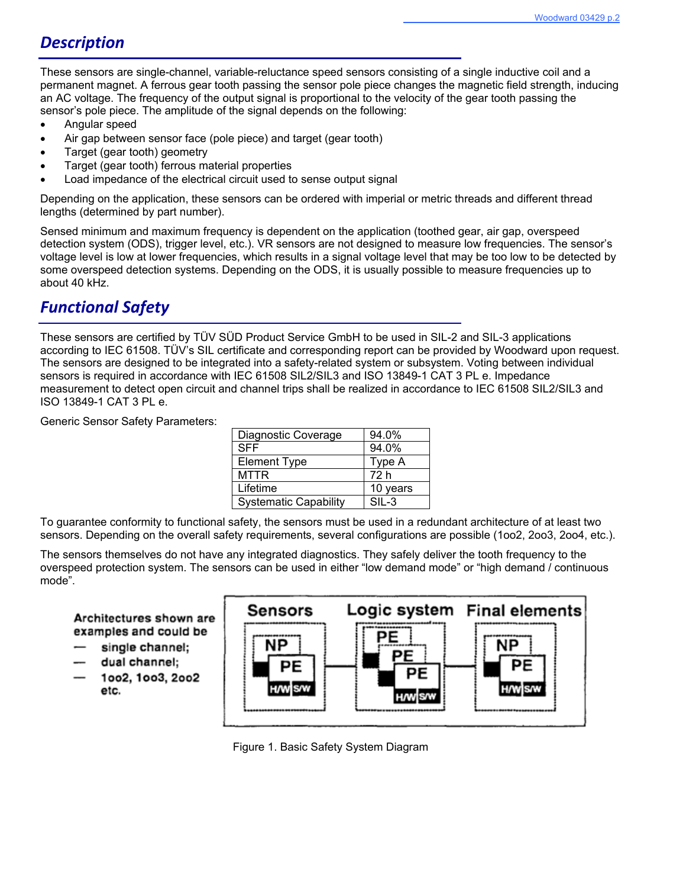# *Description*

These sensors are single-channel, variable-reluctance speed sensors consisting of a single inductive coil and a permanent magnet. A ferrous gear tooth passing the sensor pole piece changes the magnetic field strength, inducing an AC voltage. The frequency of the output signal is proportional to the velocity of the gear tooth passing the sensor's pole piece. The amplitude of the signal depends on the following:

- Angular speed
- Air gap between sensor face (pole piece) and target (gear tooth)
- Target (gear tooth) geometry
- Target (gear tooth) ferrous material properties
- Load impedance of the electrical circuit used to sense output signal

Depending on the application, these sensors can be ordered with imperial or metric threads and different thread lengths (determined by part number).

Sensed minimum and maximum frequency is dependent on the application (toothed gear, air gap, overspeed detection system (ODS), trigger level, etc.). VR sensors are not designed to measure low frequencies. The sensor's voltage level is low at lower frequencies, which results in a signal voltage level that may be too low to be detected by some overspeed detection systems. Depending on the ODS, it is usually possible to measure frequencies up to about 40 kHz.

## *Functional Safety*

These sensors are certified by TÜV SÜD Product Service GmbH to be used in SIL-2 and SIL-3 applications according to IEC 61508. TÜV's SIL certificate and corresponding report can be provided by Woodward upon request. The sensors are designed to be integrated into a safety-related system or subsystem. Voting between individual sensors is required in accordance with IEC 61508 SIL2/SIL3 and ISO 13849-1 CAT 3 PL e. Impedance measurement to detect open circuit and channel trips shall be realized in accordance to IEC 61508 SIL2/SIL3 and ISO 13849-1 CAT 3 PL e.

Generic Sensor Safety Parameters:

| Diagnostic Coverage          | 94.0%    |
|------------------------------|----------|
| <b>SFF</b>                   | 94.0%    |
| <b>Element Type</b>          | Type A   |
| MTTR                         | 72 h     |
| Lifetime                     | 10 years |
| <b>Systematic Capability</b> | $SIL-3$  |

To guarantee conformity to functional safety, the sensors must be used in a redundant architecture of at least two sensors. Depending on the overall safety requirements, several configurations are possible (1oo2, 2oo3, 2oo4, etc.).

The sensors themselves do not have any integrated diagnostics. They safely deliver the tooth frequency to the overspeed protection system. The sensors can be used in either "low demand mode" or "high demand / continuous mode".

### Architectures shown are examples and could be

- single channel;
- dual channel;
- 1002, 1003, 2002 etc.



Figure 1. Basic Safety System Diagram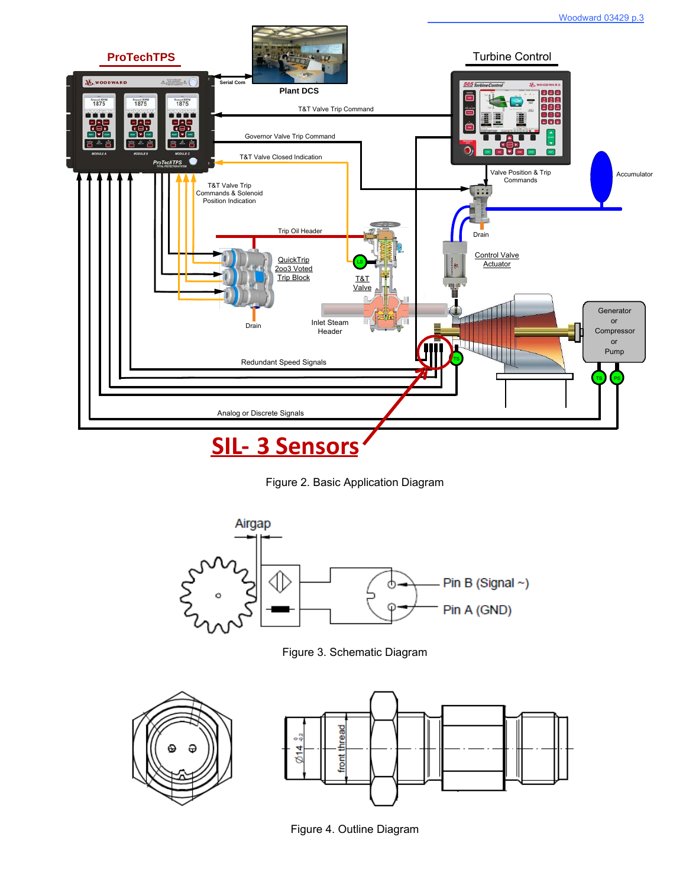

Figure 2. Basic Application Diagram



Figure 3. Schematic Diagram



Figure 4. Outline Diagram